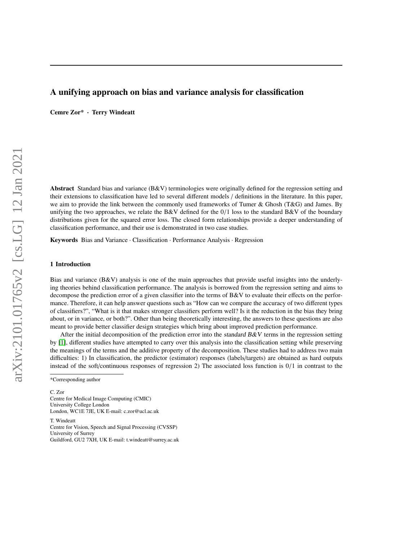# A unifying approach on bias and variance analysis for classification

Cemre Zor\* · Terry Windeatt

Abstract Standard bias and variance (B&V) terminologies were originally defined for the regression setting and their extensions to classification have led to several different models / definitions in the literature. In this paper, we aim to provide the link between the commonly used frameworks of Tumer & Ghosh (T&G) and James. By unifying the two approaches, we relate the B&V defined for the  $0/1$  loss to the standard B&V of the boundary distributions given for the squared error loss. The closed form relationships provide a deeper understanding of classification performance, and their use is demonstrated in two case studies.

Keywords Bias and Variance · Classification · Performance Analysis · Regression

## 1 Introduction

Bias and variance (B&V) analysis is one of the main approaches that provide useful insights into the underlying theories behind classification performance. The analysis is borrowed from the regression setting and aims to decompose the prediction error of a given classifier into the terms of B&V to evaluate their effects on the performance. Therefore, it can help answer questions such as "How can we compare the accuracy of two different types of classifiers?", "What is it that makes stronger classifiers perform well? Is it the reduction in the bias they bring about, or in variance, or both?". Other than being theoretically interesting, the answers to these questions are also meant to provide better classifier design strategies which bring about improved prediction performance.

After the initial decomposition of the prediction error into the standard  $B\&V$  terms in the regression setting by [\[1\]](#page-16-0), different studies have attempted to carry over this analysis into the classification setting while preserving the meanings of the terms and the additive property of the decomposition. These studies had to address two main difficulties: 1) In classification, the predictor (estimator) responses (labels/targets) are obtained as hard outputs instead of the soft/continuous responses of regression 2) The associated loss function is 0/1 in contrast to the

C. Zor Centre for Medical Image Computing (CMIC) University College London London, WC1E 7JE, UK E-mail: c.zor@ucl.ac.uk

T. Windeatt Centre for Vision, Speech and Signal Processing (CVSSP) University of Surrey Guildford, GU2 7XH, UK E-mail: t.windeatt@surrey.ac.uk

<sup>\*</sup>Corresponding author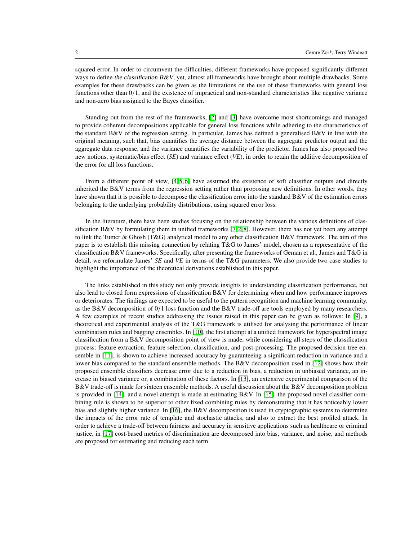squared error. In order to circumvent the difficulties, different frameworks have proposed significantly different ways to define the classification  $B\&V$ , yet, almost all frameworks have brought about multiple drawbacks. Some examples for these drawbacks can be given as the limitations on the use of these frameworks with general loss functions other than  $0/1$ , and the existence of impractical and non-standard characteristics like negative variance and non-zero bias assigned to the Bayes classifier.

Standing out from the rest of the frameworks, [\[2\]](#page-16-1) and [\[3\]](#page-16-2) have overcome most shortcomings and managed to provide coherent decompositions applicable for general loss functions while adhering to the characteristics of the standard B&V of the regression setting. In particular, James has defined a generalised B&V in line with the original meaning, such that, bias quantifies the average distance between the aggregate predictor output and the aggregate data response, and the variance quantifies the variability of the predictor. James has also proposed two new notions, systematic/bias effect (*SE*) and variance effect (*VE*), in order to retain the additive decomposition of the error for all loss functions.

From a different point of view, [\[4,](#page-16-3)5,6] have assumed the existence of soft classifier outputs and directly inherited the B&V terms from the regression setting rather than proposing new definitions. In other words, they have shown that it is possible to decompose the classification error into the standard B&V of the estimation errors belonging to the underlying probability distributions, using squared error loss.

In the literature, there have been studies focusing on the relationship between the various definitions of classification B&V by formulating them in unified frameworks  $[7, 2, 8]$  $[7, 2, 8]$  $[7, 2, 8]$ . However, there has not yet been any attempt to link the Tumer & Ghosh (T&G) analytical model to any other classification B&V framework. The aim of this paper is to establish this missing connection by relating T&G to James' model, chosen as a representative of the classification B&V frameworks. Specifically, after presenting the frameworks of Geman et al., James and T&G in detail, we reformulate James' *SE* and *VE* in terms of the T&G parameters. We also provide two case studies to highlight the importance of the theoretical derivations established in this paper.

The links established in this study not only provide insights to understanding classification performance, but also lead to closed form expressions of classification B&V for determining when and how performance improves or deteriorates. The findings are expected to be useful to the pattern recognition and machine learning community, as the B&V decomposition of 0/1 loss function and the B&V trade-off are tools employed by many researchers. A few examples of recent studies addressing the issues raised in this paper can be given as follows: In [\[9\]](#page-16-8), a theoretical and experimental analysis of the T&G framework is utilised for analysing the performance of linear combination rules and bagging ensembles. In [\[10\]](#page-16-9), the first attempt at a unified framework for hyperspectral image classification from a B&V decomposition point of view is made, while considering all steps of the classification process: feature extraction, feature selection, classification, and post-processing. The proposed decision tree ensemble in [\[11\]](#page-16-10), is shown to achieve increased accuracy by guaranteeing a significant reduction in variance and a lower bias compared to the standard ensemble methods. The B&V decomposition used in [\[12\]](#page-16-11) shows how their proposed ensemble classifiers decrease error due to a reduction in bias, a reduction in unbiased variance, an increase in biased variance or, a combination of these factors. In [\[13\]](#page-16-12), an extensive experimental comparison of the B&V trade-off is made for sixteen ensemble methods. A useful discussion about the B&V decomposition problem is provided in [\[14\]](#page-16-13), and a novel attempt is made at estimating B&V. In [\[15\]](#page-16-14), the proposed novel classifier combining rule is shown to be superior to other fixed combining rules by demonstrating that it has noticeably lower bias and slightly higher variance. In [\[16\]](#page-16-15), the B&V decomposition is used in cryptographic systems to determine the impacts of the error rate of template and stochastic attacks, and also to extract the best profiled attack. In order to achieve a trade-off between fairness and accuracy in sensitive applications such as healthcare or criminal justice, in [\[17\]](#page-16-16) cost-based metrics of discrimination are decomposed into bias, variance, and noise, and methods are proposed for estimating and reducing each term.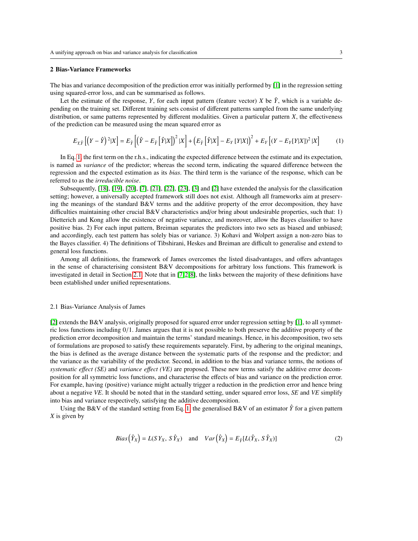#### 2 Bias-Variance Frameworks

The bias and variance decomposition of the prediction error was initially performed by [\[1\]](#page-16-0) in the regression setting using squared-error loss, and can be summarised as follows.

Let the estimate of the response, *Y*, for each input pattern (feature vector) *X* be  $\hat{Y}$ , which is a variable depending on the training set. Different training sets consist of different patterns sampled from the same underlying distribution, or same patterns represented by different modalities. Given a particular pattern *X*, the effectiveness of the prediction can be measured using the mean squared error as

<span id="page-2-0"></span>
$$
E_{Y,\hat{Y}}\left[\left(Y-\hat{Y}\right)^2|X\right] = E_{\hat{Y}}\left[\left(\hat{Y}-E_{\hat{Y}}\left[\hat{Y}|X\right]\right)^2|X\right] + \left(E_{\hat{Y}}\left[\hat{Y}|X\right] - E_{Y}\left[Y|X\right]\right)^2 + E_{Y}\left[\left(Y-E_{Y}\left[Y|X\right]\right)^2|X\right] \tag{1}
$$

In Eq. [1,](#page-2-0) the first term on the r.h.s., indicating the expected difference between the estimate and its expectation, is named as *variance* of the predictor; whereas the second term, indicating the squared difference between the regression and the expected estimation as its *bias*. The third term is the variance of the response, which can be referred to as the *irreducible noise*.

Subsequently, [\[18\]](#page-16-17), [\[19\]](#page-16-18), [\[20\]](#page-16-19), [\[7\]](#page-16-6), [\[21\]](#page-16-20), [\[22\]](#page-16-21), [\[23\]](#page-16-22), [\[3\]](#page-16-2) and [\[2\]](#page-16-1) have extended the analysis for the classification setting; however, a universally accepted framework still does not exist. Although all frameworks aim at preserving the meanings of the standard B&V terms and the additive property of the error decomposition, they have difficulties maintaining other crucial B&V characteristics and/or bring about undesirable properties, such that: 1) Dietterich and Kong allow the existence of negative variance, and moreover, allow the Bayes classifier to have positive bias. 2) For each input pattern, Breiman separates the predictors into two sets as biased and unbiased; and accordingly, each test pattern has solely bias or variance. 3) Kohavi and Wolpert assign a non-zero bias to the Bayes classifier. 4) The definitions of Tibshirani, Heskes and Breiman are difficult to generalise and extend to general loss functions.

Among all definitions, the framework of James overcomes the listed disadvantages, and offers advantages in the sense of characterising consistent B&V decompositions for arbitrary loss functions. This framework is investigated in detail in Section [2.1.](#page-2-1) Note that in [\[7,](#page-16-6)2,8], the links between the majority of these definitions have been established under unified representations.

## <span id="page-2-1"></span>2.1 Bias-Variance Analysis of James

[\[2\]](#page-16-1) extends the B&V analysis, originally proposed for squared error under regression setting by [\[1\]](#page-16-0), to all symmetric loss functions including 0/1. James argues that it is not possible to both preserve the additive property of the prediction error decomposition and maintain the terms' standard meanings. Hence, in his decomposition, two sets of formulations are proposed to satisfy these requirements separately. First, by adhering to the original meanings, the bias is defined as the average distance between the systematic parts of the response and the predictor; and the variance as the variability of the predictor. Second, in addition to the bias and variance terms, the notions of *systematic e*ff*ect (SE)* and *variance e*ff*ect (VE)* are proposed. These new terms satisfy the additive error decomposition for all symmetric loss functions, and characterise the effects of bias and variance on the prediction error. For example, having (positive) variance might actually trigger a reduction in the prediction error and hence bring about a negative *VE*. It should be noted that in the standard setting, under squared error loss, *SE* and *VE* simplify into bias and variance respectively, satisfying the additive decomposition.

Using the B&V of the standard setting from Eq. [1,](#page-2-0) the generalised B&V of an estimator  $\hat{Y}$  for a given pattern *X* is given by

<span id="page-2-2"></span>
$$
Bias\left(\hat{Y}_X\right) = L(SY_X, S\hat{Y}_X) \quad \text{and} \quad Var\left(\hat{Y}_X\right) = E_{\hat{Y}}[L(\hat{Y}_X, S\hat{Y}_X)] \tag{2}
$$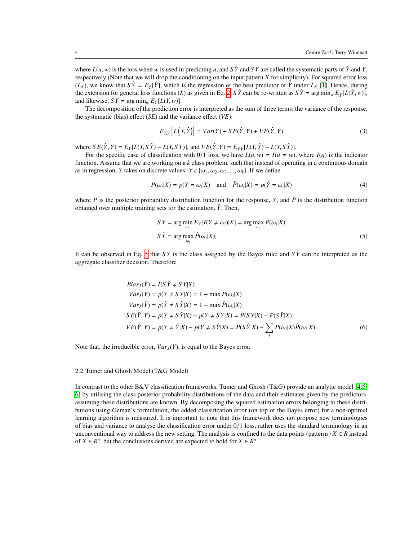where  $L(u, w)$  is the loss when *w* is used in predicting *u*, and *S*  $\hat{Y}$  and *SY* are called the systematic parts of  $\hat{Y}$  and *Y*, respectively (Note that we will drop the conditioning on the input pattern *X* for simplicity). For squared error loss  $(L_S)$ , we know that  $S\hat{Y} = E_{\hat{Y}}[\hat{Y}]$ , which is the regression or the best predictor of  $\hat{Y}$  under  $L_S$  [\[1\]](#page-16-0). Hence, during the extension for general loss functions (*L*) as given in Eq. [2,](#page-2-2) *S*  $\hat{Y}$  can be re-written as  $S \hat{Y} = \arg \min_{w} E_{\hat{Y}} [L(\hat{Y}, w)],$ and likewise,  $SY = \arg \min_{w} E_Y[L(Y, w)]$ .

The decomposition of the prediction error is interpreted as the sum of three terms: the variance of the response, the systematic (bias) effect (*SE*) and the variance effect (*VE*):

<span id="page-3-2"></span>
$$
E_{Y,\hat{Y}}\left[L(Y,\hat{Y})\right] = Var(Y) + SE(\hat{Y},Y) + VE(\hat{Y},Y)
$$
\n(3)

where  $SE(\hat{Y}, Y) = E_Y[L(Y, S\hat{Y}) - L(Y, SY)],$  and  $VE(\hat{Y}, Y) = E_{Y\hat{Y}}[L(Y, \hat{Y}) - L(Y, S\hat{Y})].$ 

For the specific case of classification with  $0/1$  loss, we have  $L(u, w) = I(u \neq w)$ , where  $I(q)$  is the indicator function. Assume that we are working on a *k* class problem, such that instead of operating in a continuous domain as in regression, *Y* takes on discrete values:  $Y \in \{\omega_1, \omega_2, \omega_3, ..., \omega_k\}$ . If we define

$$
P(\omega_i|X) = p(Y = \omega_i|X) \quad \text{and} \quad \hat{P}(\omega_i|X) = p(\hat{Y} = \omega_i|X) \tag{4}
$$

where *P* is the posterior probability distribution function for the response, *Y*, and  $\hat{P}$  is the distribution function obtained over multiple training sets for the estimation,  $\hat{Y}$ . Then,

<span id="page-3-3"></span><span id="page-3-0"></span>
$$
SY = \arg\min_{\omega_i} E_Y[I(Y \neq \omega_i)|X] = \arg\max_{\omega_i} P(\omega_i|X)
$$
  

$$
S\hat{Y} = \arg\max_{\omega_i} \hat{P}(\omega_i|X).
$$
 (5)

It can be observed in Eq. [5](#page-3-0) that *SY* is the class assigned by the Bayes rule; and  $S\hat{Y}$  can be interpreted as the aggregate classifier decision. Therefore

$$
Bias_J(\hat{Y}) = I(S\hat{Y} \neq SY|X)
$$
  
\n
$$
Var_J(Y) = p(Y \neq SY|X) = 1 - \max P(\omega_i|X)
$$
  
\n
$$
Var_J(\hat{Y}) = p(\hat{Y} \neq S\hat{Y}|X) = 1 - \max \hat{P}(\omega_i|X)
$$
  
\n
$$
SE(\hat{Y}, Y) = p(Y \neq S\hat{Y}|X) - p(Y \neq SY|X) = P(SY|X) - P(S\hat{Y}|X)
$$
  
\n
$$
VE(\hat{Y}, Y) = p(Y \neq \hat{Y}|X) - p(Y \neq S\hat{Y}|X) = P(S\hat{Y}|X) - \sum_i P(\omega_i|X)\hat{P}(\omega_i|X).
$$
 (6)

Note that, the irreducible error,  $Var_J(Y)$ , is equal to the Bayes error.

### <span id="page-3-1"></span>2.2 Tumer and Ghosh Model (T&G Model)

In contrast to the other B&V classification frameworks, Tumer and Ghosh (T&G) provide an analytic model [\[4,](#page-16-3)5, [6\]](#page-16-5) by utilising the class posterior probability distributions of the data and their estimates given by the predictors, assuming these distributions are known. By decomposing the squared estimation errors belonging to these distributions using Geman's formulation, the added classification error (on top of the Bayes error) for a non-optimal learning algorithm is measured. It is important to note that this framework does not propose new terminologies of bias and variance to analyse the classification error under 0/1 loss, rather uses the standard terminology in an unconventional way to address the new setting. The analysis is confined to the data points (patterns)  $X \in \mathbb{R}$  instead of  $X \in \mathbb{R}^n$ , but the conclusions derived are expected to hold for  $X \in \mathbb{R}^n$ .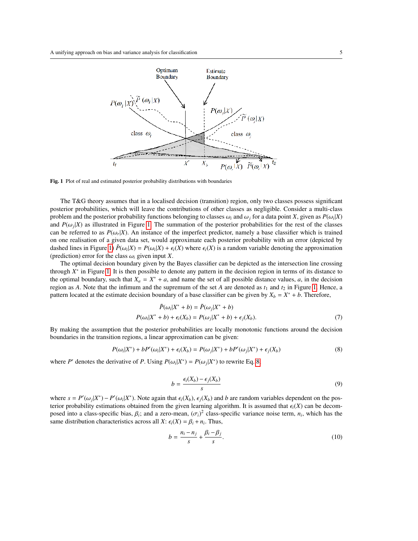

<span id="page-4-0"></span>Fig. 1 Plot of real and estimated posterior probability distributions with boundaries

The T&G theory assumes that in a localised decision (transition) region, only two classes possess significant posterior probabilities, which will leave the contributions of other classes as negligible. Consider a multi-class problem and the posterior probability functions belonging to classes  $\omega_i$  and  $\omega_j$  for a data point *X*, given as  $P(\omega_i|X)$ <br>and  $P(\omega_i|Y)$  as illustrated in Figure 1. The summation of the posterior probabilities for the and  $P(\omega_j|X)$  as illustrated in Figure [1.](#page-4-0) The summation of the posterior probabilities for the rest of the classes<br>can be referred to as  $P(\omega | X)$ . An instance of the imperfect predictor, namely a base classifier which is can be referred to as  $P(\omega_r|X)$ . An instance of the imperfect predictor, namely a base classifier which is trained<br>on one realisation of a given data set, would approximate each posterior probability with an error (depict on one realisation of a given data set, would approximate each posterior probability with an error (depicted by dashed lines in Figure [1\)](#page-4-0)  $\tilde{P}(\omega_i|X) = P(\omega_i|X) + \epsilon_i(X)$  where  $\epsilon_i(X)$  is a random variable denoting the approximation (prediction) error for the class  $\omega_i$  given input Y (prediction) error for the class  $\omega_i$  given input *X*.

The optimal decision boundary given by the Bayes classifier can be depicted as the intersection line crossing through *X* ∗ in Figure [1.](#page-4-0) It is then possible to denote any pattern in the decision region in terms of its distance to the optimal boundary, such that  $X_a = X^* + a$ , and name the set of all possible distance values, *a*, in the decision region as *A*. Note that the infimum and the supremum of the set *A* are denoted as  $t_1$  and  $t_2$  in Figure [1.](#page-4-0) Hence, a pattern located at the estimate decision boundary of a base classifier can be given by  $X_b = X^* + b$ . Therefore,

$$
\tilde{P}(\omega_i|X^* + b) = \tilde{P}(\omega_j|X^* + b)
$$
  

$$
P(\omega_i|X^* + b) + \epsilon_i(X_b) = P(\omega_j|X^* + b) + \epsilon_j(X_b).
$$
 (7)

By making the assumption that the posterior probabilities are locally monotonic functions around the decision boundaries in the transition regions, a linear approximation can be given:

$$
P(\omega_i|X^*) + bP'(\omega_i|X^*) + \epsilon_i(X_b) = P(\omega_j|X^*) + bP'(\omega_j|X^*) + \epsilon_j(X_b)
$$
\n
$$
(8)
$$

where *P*<sup> $\prime$ </sup> denotes the derivative of *P*. Using  $P(\omega_i|X^*) = P(\omega_j|X^*)$  to rewrite Eq. [8,](#page-4-1)

<span id="page-4-2"></span><span id="page-4-1"></span>
$$
b = \frac{\epsilon_i(X_b) - \epsilon_j(X_b)}{s} \tag{9}
$$

where  $s = P'(\omega_j|X^*) - P'(\omega_i|X^*)$ . Note again that  $\epsilon_i(X_b), \epsilon_j(X_b)$  and *b* are random variables dependent on the pos-<br>terior probability estimations obtained from the given learning algorithm. It is assumed that  $\epsilon_i(X)$  can be terior probability estimations obtained from the given learning algorithm. It is assumed that  $\epsilon_i(X)$  can be decomposed into a class-specific bias,  $\beta_i$ ; and a zero-mean,  $(\sigma_i)^2$  class-specific variance noise term,  $n_i$ , which has the same distribution characteristics across all *X*:  $\epsilon_i(X) = \beta_i + n_i$ . Thus,

<span id="page-4-3"></span>
$$
b = \frac{n_i - n_j}{s} + \frac{\beta_i - \beta_j}{s}.\tag{10}
$$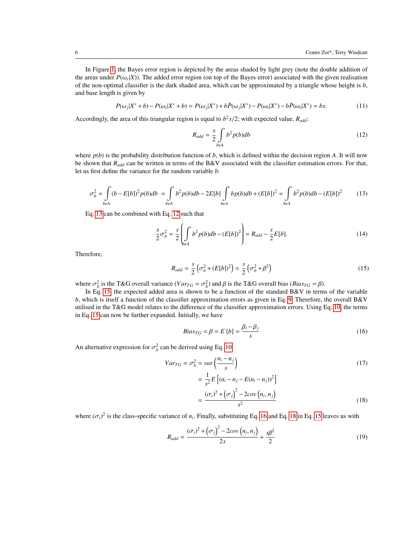In Figure [1,](#page-4-0) the Bayes error region is depicted by the areas shaded by light grey (note the double addition of the areas under  $P(\omega_r|X)$ ). The added error region (on top of the Bayes error) associated with the given realisation<br>of the non-optimal classifier is the dark shaded area, which can be approximated by a triangle whose hei of the non-optimal classifier is the dark shaded area, which can be approximated by a triangle whose height is *b*, and base length is given by

$$
P(\omega_j|X^*+b) - P(\omega_i|X^*+b) = P(\omega_j|X^*) + b\tilde{P}(\omega_j|X^*) - P(\omega_i|X^*) - b\tilde{P}(\omega_i|X^*) = bs.
$$
\n<sup>(11)</sup>

Accordingly, the area of this triangular region is equal to  $b^2s/2$ ; with expected value,  $R_{add}$ :

<span id="page-5-5"></span><span id="page-5-1"></span><span id="page-5-0"></span>
$$
R_{add} = \frac{s}{2} \int_{b\in A} b^2 p(b) db \tag{12}
$$

where  $p(b)$  is the probability distribution function of  $b$ , which is defined within the decision region  $A$ . It will now be shown that *Radd* can be written in terms of the B&V associated with the classifier estimation errors. For that, let us first define the variance for the random variable *b*:

$$
\sigma_b^2 = \int_{b\epsilon A} (b - E[b])^2 p(b) db = \int_{b\epsilon A} b^2 p(b) db - 2E[b] \int_{b\epsilon A} bp(b) db + (E[b])^2 = \int_{b\epsilon A} b^2 p(b) db - (E[b])^2 \tag{13}
$$

Eq. [13](#page-5-0) can be combined with Eq. [12](#page-5-1) such that

$$
\frac{s}{2}\sigma_b^2 = \frac{s}{2} \left( \int \int \frac{b^2 p(b)db - (E[b])^2}{2} \right) = R_{add} - \frac{s}{2}E[b]. \tag{14}
$$

Therefore,

$$
R_{add} = \frac{s}{2} \left( \sigma_b^2 + (E[b])^2 \right) = \frac{s}{2} \left( \sigma_b^2 + \beta^2 \right)
$$
 (15)

where  $\sigma_b^2$  is the T&G overall variance  $(Var_{TG} = \sigma_b^2)$  and  $\beta$  is the T&G overall bias (*Bias<sub>TG</sub>* =  $\beta$ ).<br>In Eq. 15, the expected added area is shown to be a function of the standard B&V in terms

In Eq. [15,](#page-5-2) the expected added area is shown to be a function of the standard B&V in terms of the variable *b*, which is itself a function of the classifier approximation errors as given in Eq. [9.](#page-4-2) Therefore, the overall B&V utilised in the T&G model relates to the difference of the classifier approximation errors. Using Eq. [10,](#page-4-3) the terms in Eq. [15](#page-5-2) can now be further expanded. Initially, we have

<span id="page-5-6"></span><span id="page-5-4"></span><span id="page-5-3"></span><span id="page-5-2"></span>
$$
Bias_{TG} = \beta = E [b] = \frac{\beta_i - \beta_j}{s}
$$
 (16)

An alternative expression for  $\sigma_b^2$  can be derived using Eq. [10:](#page-4-3)

$$
Var_{TG} = \sigma_b^2 = var\left(\frac{n_i - n_j}{s}\right)
$$
  
= 
$$
\frac{1}{s^2}E\left[(n_i - n_j - E(n_i - n_j))^2\right]
$$
  
= 
$$
\frac{(\sigma_i)^2 + (\sigma_j)^2 - 2cov(n_i, n_j)}{s^2}
$$
 (18)

where  $(\sigma_i)^2$  is the class-specific variance of  $n_i$ . Finally, substituting Eq. [16](#page-5-3) and Eq. [18](#page-5-4) in Eq. [15](#page-5-2) leaves us with

$$
R_{add} = \frac{(\sigma_i)^2 + (\sigma_j)^2 - 2cov(n_i, n_j)}{2s} + \frac{s\beta^2}{2}
$$
 (19)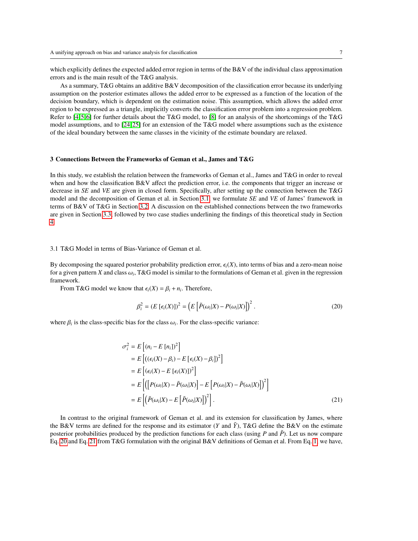which explicitly defines the expected added error region in terms of the B&V of the individual class approximation errors and is the main result of the T&G analysis.

As a summary, T&G obtains an additive B&V decomposition of the classification error because its underlying assumption on the posterior estimates allows the added error to be expressed as a function of the location of the decision boundary, which is dependent on the estimation noise. This assumption, which allows the added error region to be expressed as a triangle, implicitly converts the classification error problem into a regression problem. Refer to [\[4,](#page-16-3) [5,](#page-16-4) [6\]](#page-16-5) for further details about the T&G model, to [\[8\]](#page-16-7) for an analysis of the shortcomings of the T&G model assumptions, and to [\[24,](#page-16-23) [25\]](#page-16-24) for an extension of the T&G model where assumptions such as the existence of the ideal boundary between the same classes in the vicinity of the estimate boundary are relaxed.

## 3 Connections Between the Frameworks of Geman et al., James and T&G

In this study, we establish the relation between the frameworks of Geman et al., James and T&G in order to reveal when and how the classification B&V affect the prediction error, i.e. the components that trigger an increase or decrease in *SE* and *VE* are given in closed form. Specifically, after setting up the connection between the T&G model and the decomposition of Geman et al. in Section [3.1,](#page-6-0) we formulate *SE* and *VE* of James' framework in terms of B&V of T&G in Section [3.2.](#page-7-0) A discussion on the established connections between the two frameworks are given in Section [3.3,](#page-12-0) followed by two case studies underlining the findings of this theoretical study in Section [4.](#page-12-1)

## <span id="page-6-0"></span>3.1 T&G Model in terms of Bias-Variance of Geman et al.

By decomposing the squared posterior probability prediction error,  $\epsilon_i(X)$ , into terms of bias and a zero-mean noise for a given pattern *X* and class  $\omega_i$ , T&G model is similar to the formulations of Geman et al. given in the regression framework framework.

From T&G model we know that  $\epsilon_i(X) = \beta_i + n_i$ . Therefore,

<span id="page-6-2"></span><span id="page-6-1"></span>
$$
\beta_i^2 = (E\left[\epsilon_i(X)\right])^2 = \left(E\left[\tilde{P}(\omega_i|X) - P(\omega_i|X)\right]\right)^2. \tag{20}
$$

where  $\beta_i$  is the class-specific bias for the class  $\omega_i$ . For the class-specific variance:

$$
\sigma_i^2 = E\left[ (n_i - E[n_i])^2 \right]
$$
  
\n
$$
= E\left[ ((\epsilon_i(X) - \beta_i) - E[\epsilon_i(X) - \beta_i])^2 \right]
$$
  
\n
$$
= E\left[ (\epsilon_i(X) - E[\epsilon_i(X)])^2 \right]
$$
  
\n
$$
= E\left[ \left( \left[ P(\omega_i|X) - \tilde{P}(\omega_i|X) \right] - E[\left[ P(\omega_i|X) - \tilde{P}(\omega_i|X) \right] \right)^2 \right]
$$
  
\n
$$
= E\left[ \left( \tilde{P}(\omega_i|X) - E[\tilde{P}(\omega_i|X)] \right)^2 \right].
$$
\n(21)

In contrast to the original framework of Geman et al. and its extension for classification by James, where the B&V terms are defined for the response and its estimator (*Y* and  $\tilde{Y}$ ), T&G define the B&V on the estimate posterior probabilities produced by the prediction functions for each class (using  $P$  and  $\tilde{P}$ ). Let us now compare Eq. [20](#page-6-1) and Eq. [21](#page-6-2) from T&G formulation with the original B&V definitions of Geman et al. From Eq. [1,](#page-2-0) we have,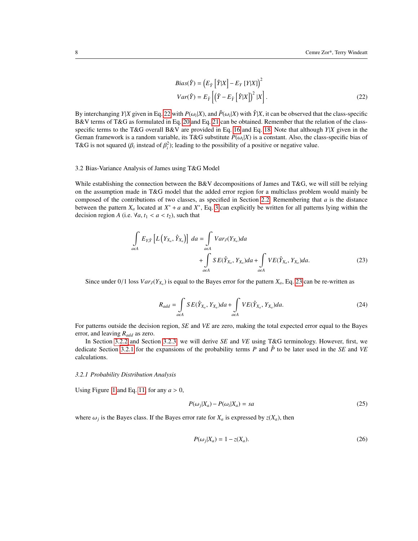<span id="page-7-1"></span>
$$
Bias(\hat{Y}) = (E_{\hat{Y}} [\hat{Y}|X] - E_{Y} [Y|X])^{2}
$$
  
\n
$$
Var(\hat{Y}) = E_{\tilde{Y}} [(\hat{Y} - E_{\hat{Y}} [\hat{Y}|X])^{2} |X].
$$
\n(22)

By interchanging *Y*|*X* given in Eq. [22](#page-7-1) with  $P(\omega_i|X)$ , and  $\tilde{P}(\omega_i|X)$  with  $\hat{Y}|X$ , it can be observed that the class-specific ReV terms of T&G as formulated in Eq. 20 and Eq. 21 can be obtained. Remember that the B&V terms of T&G as formulated in Eq. [20](#page-6-1) and Eq. [21](#page-6-2) can be obtained. Remember that the relation of the classspecific terms to the T&G overall B&V are provided in Eq. [16](#page-5-3) and Eq. [18.](#page-5-4) Note that although *Y*|*X* given in the Geman framework is a random variable, its T&G substitute  $P(\omega_i|X)$  is a constant. Also, the class-specific bias of  $T\&G$  is not squared ( $\beta$ , instead of  $\beta^2$ ); leading to the possibility of a positive or negative valu T&G is not squared ( $\beta_i$  instead of  $\beta_i^2$ ); leading to the possibility of a positive or negative value.

### <span id="page-7-0"></span>3.2 Bias-Variance Analysis of James using T&G Model

While establishing the connection between the B&V decompositions of James and T&G, we will still be relying on the assumption made in T&G model that the added error region for a multiclass problem would mainly be composed of the contributions of two classes, as specified in Section [2.2.](#page-3-1) Remembering that *a* is the distance between the pattern  $X_a$  located at  $X^* + a$  and  $X^*$ , Eq. [3](#page-3-2) can explicitly be written for all patterns lying within the decision region *A* (i.e.  $\forall a, t_1 < a < t_2$ ), such that

$$
\int_{a\in A} E_{Y,\hat{Y}} \left[ L \left( Y_{X_a}, \hat{Y}_{X_a} \right) \right] da = \int_{a\in A} Var_J(Y_{X_a}) da + \int_{a\in A} SE(\hat{Y}_{X_a}, Y_{X_a}) da + \int_{a\in A} VE(\hat{Y}_{X_a}, Y_{X_a}) da.
$$
\n(23)

Since under  $0/1$  loss  $Var_J(Y_{X_a})$  is equal to the Bayes error for the pattern  $X_a$ , Eq. [23](#page-7-2) can be re-written as

<span id="page-7-2"></span>
$$
R_{add} = \int_{a\in A} SE(\hat{Y}_{X_a}, Y_{X_a}) da + \int_{a\in A} VE(\hat{Y}_{X_a}, Y_{X_a}) da.
$$
 (24)

For patterns outside the decision region, *SE* and *VE* are zero, making the total expected error equal to the Bayes error, and leaving *Radd* as zero.

In Section [3.2.2](#page-8-0) and Section [3.2.3,](#page-10-0) we will derive *SE* and *VE* using T&G terminology. However, first, we dedicate Section [3.2.1](#page-7-3) for the expansions of the probability terms *P* and *P*ˆ to be later used in the *SE* and *VE* calculations.

### <span id="page-7-3"></span>*3.2.1 Probability Distribution Analysis*

Using Figure [1](#page-4-0) and Eq. [11,](#page-5-5) for any  $a > 0$ ,

<span id="page-7-5"></span>
$$
P(\omega_j|X_a) - P(\omega_i|X_a) = sa \tag{25}
$$

where  $\omega_j$  is the Bayes class. If the Bayes error rate for  $X_a$  is expressed by  $z(X_a)$ , then

<span id="page-7-4"></span>
$$
P(\omega_j|X_a) = 1 - z(X_a). \tag{26}
$$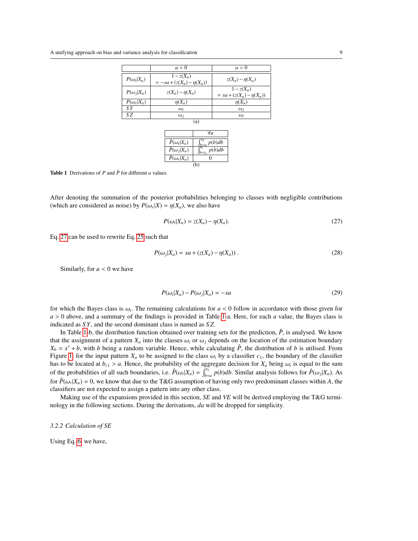|                   | a < 0                                        | a > 0                                       |  |
|-------------------|----------------------------------------------|---------------------------------------------|--|
| $P(\omega_i X_a)$ | $1-z(X_a)$<br>$= -sa + (z(X_a) - \eta(X_a))$ | $\chi(X_a) - \eta(X_a)$                     |  |
| $P(\omega_i X_a)$ | $\chi(X_a) - \eta(X_a)$                      | $1-z(X_a)$<br>$= sa + (z(X_a) - \eta(X_a))$ |  |
| $P(\omega_r X_a)$ | $\eta(X_a)$                                  | $\eta(X_a)$                                 |  |
| S Y               | $\omega_i$                                   | $\omega_i$                                  |  |
| SZ.               | $\omega_i$                                   | $\omega_i$                                  |  |
| a)                |                                              |                                             |  |

|                                    | Уα                        |  |
|------------------------------------|---------------------------|--|
| $\hat{P}(\omega_i X_a)$            | $\int_{b=a}^{t_2} p(b)db$ |  |
| $\overline{\hat{P}}(\omega_j X_a)$ | p(b)db                    |  |
| $\hat{P}(\omega_r X_a)$            | 0                         |  |
| (b)                                |                           |  |

<span id="page-8-2"></span>**Table 1** Derivations of *P* and  $\hat{P}$  for different *a* values.

After denoting the summation of the posterior probabilities belonging to classes with negligible contributions (which are considered as noise) by  $P(\omega_r|X) = \eta(X_a)$ , we also have

<span id="page-8-1"></span>
$$
P(\omega_i|X_a) = z(X_a) - \eta(X_a). \tag{27}
$$

Eq. [27](#page-8-1) can be used to rewrite Eq. [25](#page-7-4) such that

$$
P(\omega_j|X_a) = sa + (z(X_a) - \eta(X_a)).
$$
\n(28)

Similarly, for  $a < 0$  we have

$$
P(\omega_i|X_a) - P(\omega_j|X_a) = -sa \tag{29}
$$

for which the Bayes class is  $\omega_i$ . The remaining calculations for  $a < 0$  follow in accordance with those given for  $a > 0$  above and a summary of the findings is provided in Table 1.a. Here, for each q value, the Bayes cl *<sup>a</sup>* > 0 above, and a summary of the findings is provided in Table [1-](#page-8-2)a. Here, for each *<sup>a</sup>* value, the Bayes class is indicated as *S Y*, and the second dominant class is named as *S Z*.

In Table [1-](#page-8-2)b, the distribution function obtained over training sets for the prediction,  $\hat{P}$ , is analysed. We know that the assignment of a pattern  $X_a$  into the classes  $\omega_i$  or  $\omega_j$  depends on the location of the estimation boundary  $X_b = x^* + b$ , with *b* being a random variable. Hence, while calculating  $\hat{P}$ , the distribution of *b* is utilised. From Figure [1,](#page-4-0) for the input pattern  $X_a$  to be assigned to the class  $\omega_i$  by a classifier  $c_1$ , the boundary of the classifier has to be located at  $b_{c1} > a$ . Hence, the probability of the aggregate decision for  $X_a$  being  $\omega_i$  is equal to the sum of the probabilities of all such haundaries i.e.  $\hat{B}(\omega | \mathbf{Y}) = \int_a^b \hat{B}(\omega | \mathbf{Y}) d\omega$ . Similar a of the probabilities of all such boundaries, i.e.  $\hat{P}(\omega_i|X_a) = \int_{\alpha}^{\beta_2} p(b)db$ . Similar analysis follows for  $\hat{P}(\omega_i|X_a)$ . As for  $\hat{P}(\omega_r|X_a) = 0$ , we know that due to the T&G assumption of having only two predominant classes within *A*, the classifiers are not expected to assign a pattern into any other class. classifiers are not expected to assign a pattern into any other class.

Making use of the expansions provided in this section, *SE* and *VE* will be derived employing the T&G terminology in the following sections. During the derivations, *da* will be dropped for simplicity.

<span id="page-8-0"></span>*3.2.2 Calculation of SE*

Using Eq. [6,](#page-3-3) we have,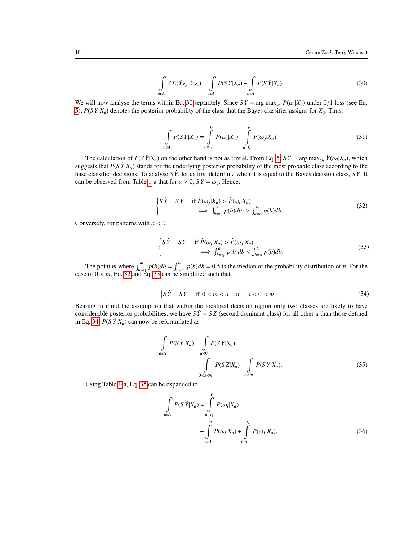<span id="page-9-0"></span>
$$
\int_{a\in A} SE(\hat{Y}_{X_a}, Y_{X_a}) = \int_{a\in A} P(SY|X_a) - \int_{a\in A} P(S\hat{Y}|X_a). \tag{30}
$$

We will now analyse the terms within Eq. [30](#page-9-0) separately. Since  $SY = \arg \max_{\omega_i} P(\omega_i | X_a)$  under 0/1 loss (see Eq. 5)  $P(S|Y|Y)$  denotes the posterior probability of the class that the Bayes classifier assigns for *Y*. Thus [5\)](#page-3-0), *P*(*S Y*|*Xa*) denotes the posterior probability of the class that the Bayes classifier assigns for *Xa*. Thus,

<span id="page-9-6"></span>
$$
\int_{a\in A} P(SY|X_a) = \int_{a=t_1}^{0} P(\omega_i|X_a) + \int_{a=0}^{t_2} P(\omega_j|X_a).
$$
\n(31)

The calculation of  $P(S\hat{Y}|X_a)$  on the other hand is not as trivial. From Eq. [5,](#page-3-0)  $S\hat{Y} = \arg \max_{\omega_i} \hat{Y}(\omega_i|X_a)$ , which suggests that  $P(S \hat{Y} | X_a)$  stands for the underlying posterior probability of the most probable class according to the base classifier decisions. To analyse *S Y*ˆ, let us first determine when it is equal to the Bayes decision class, *S Y*. It can be observed from Table [1-](#page-8-2)a that for  $a > 0$ ,  $SY = \omega_j$ . Hence,

<span id="page-9-1"></span>
$$
\begin{cases}\nS\,\hat{Y} = SY & \text{if } \hat{P}(\omega_j | X_a) > \hat{P}(\omega_i | X_a) \\
\implies \int_{b=t_1}^a p(b) \, db > \int_{b=a}^{t_2} p(b) \, db.\n\end{cases}\n\tag{32}
$$

Conversely, for patterns with *<sup>a</sup>* < 0,

<span id="page-9-2"></span>
$$
\begin{cases}\nS\,\hat{Y} = SY & \text{if } \hat{P}(\omega_i | X_a) > \hat{P}(\omega_j | X_a) \\
\implies \int_{b=t_1}^a p(b) \, db < \int_{b=a}^{t_2} p(b) \, db.\n\end{cases}\n\tag{33}
$$

The point *m* where  $\int_{b}^{m} p(b)db = \int_{b=m}^{t_2} p(b)db = 0.5$  is the median of the probability distribution of *b*. For the  $\cdot$  of  $0 \le m$  Eq. 32 and Eq. 33 can be simplified such that case of  $0 < m$ , Eq. [32](#page-9-1) and Eq. [33](#page-9-2) can be simplified such that

<span id="page-9-3"></span>
$$
\begin{cases} S\,\hat{Y} = SY & \text{if } 0 < m < a & \text{or} \quad a < 0 < m \end{cases} \tag{34}
$$

Bearing in mind the assumption that within the localised decision region only two classes are likely to have considerable posterior probabilities, we have  $S\hat{Y} = SZ$  (second dominant class) for all other *a* than those defined in Eq. [34.](#page-9-3)  $P(S \hat{Y} | X_a)$  can now be reformulated as

$$
\int_{a\in A} P(S\hat{Y}|X_a) = \int_{a<0} P(SY|X_a)
$$
  
+ 
$$
\int_{0m} P(SY|X_a).
$$
 (35)

Using Table [1-](#page-8-2)a, Eq. [35](#page-9-4) can be expanded to

<span id="page-9-5"></span><span id="page-9-4"></span>
$$
\int_{a\in A} P(S\hat{Y}|X_a) = \int_{a=t_1}^{0} P(\omega_i|X_a)
$$
  
+ 
$$
\int_{a=0}^{m} P(\omega_i|X_a) + \int_{a=m}^{t_2} P(\omega_j|X_a).
$$
 (36)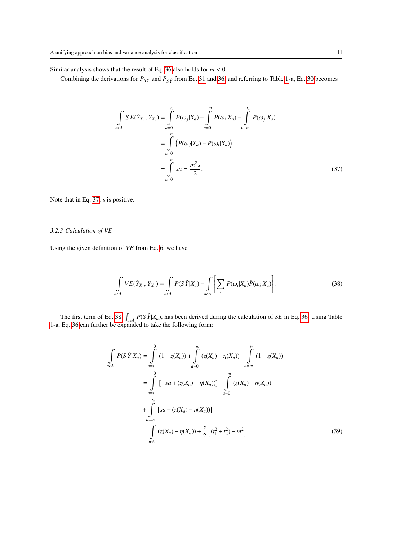Similar analysis shows that the result of Eq. [36](#page-9-5) also holds for *<sup>m</sup>* < 0.

Combining the derivations for  $P_{SY}$  and  $P_{SY}$  from Eq. [31](#page-9-6) and [36,](#page-9-5) and referring to Table [1-](#page-8-2)a, Eq. [30](#page-9-0) becomes

<span id="page-10-1"></span>
$$
\int_{a\in A} SE(\hat{Y}_{X_a}, Y_{X_a}) = \int_{a=0}^{t_2} P(\omega_j | X_a) - \int_{a=0}^{m} P(\omega_i | X_a) - \int_{a=m}^{t_2} P(\omega_j | X_a)
$$

$$
= \int_{a=0}^{m} (P(\omega_j | X_a) - P(\omega_i | X_a))
$$

$$
= \int_{a=0}^{m} sa = \frac{m^2 s}{2}.
$$
(37)

Note that in Eq. [37,](#page-10-1) *s* is positive.

## <span id="page-10-0"></span>*3.2.3 Calculation of VE*

Using the given definition of *VE* from Eq. [6,](#page-3-3) we have

<span id="page-10-2"></span>
$$
\int_{a\in A} VE(\hat{Y}_{X_a}, Y_{X_a}) = \int_{a\in A} P(S\hat{Y}|X_a) - \int_{a\in A} \left[ \sum_i P(\omega_i|X_a)\hat{P}(\omega_i|X_a) \right].
$$
\n(38)

The first term of Eq. [38,](#page-10-2)  $\vert$  $\int_{\alpha \in \mathcal{A}} P(S \hat{Y} | X_a)$ , has been derived during the calculation of *SE* in Eq. [36.](#page-9-5) Using Table anded to take the following form: [1-](#page-8-2)a, Eq. [36](#page-9-5) can further be expanded to take the following form:

$$
\int_{a\in A} P(S \hat{Y}|X_a) = \int_{a=t_1}^{0} (1 - z(X_a)) + \int_{a=0}^{m} (z(X_a) - \eta(X_a)) + \int_{a=m}^{t_2} (1 - z(X_a))
$$
  
\n
$$
= \int_{a=t_1}^{0} [-sa + (z(X_a) - \eta(X_a))] + \int_{a=0}^{m} (z(X_a) - \eta(X_a))
$$
  
\n
$$
+ \int_{a=m}^{t_2} [sa + (z(X_a) - \eta(X_a))]
$$
  
\n
$$
= \int_{a\in A} (z(X_a) - \eta(X_a)) + \frac{s}{2} [(t_1^2 + t_2^2) - m^2]
$$
 (39)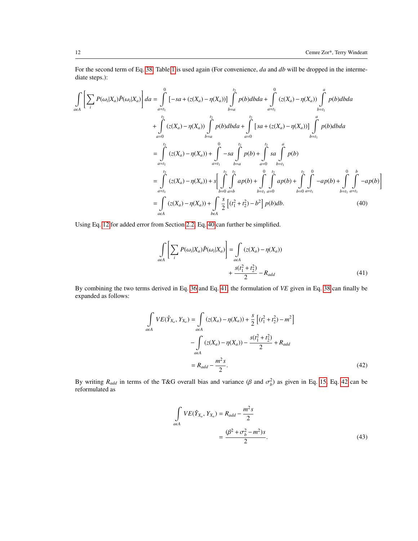For the second term of Eq. [38,](#page-10-2) Table [1](#page-8-2) is used again (For convenience, *da* and *db* will be dropped in the intermediate steps.):

$$
\int_{\alpha \in A} \left[ \sum_{i} P(\omega_{i}|X_{a}) \hat{P}(\omega_{i}|X_{a}) \right] da = \int_{\alpha = t_{1}}^{0} \left[ -sa + (z(X_{a}) - \eta(X_{a})) \int_{b=a}^{t_{2}} p(b)dbda + \int_{\alpha = t_{1}}^{0} (z(X_{a}) - \eta(X_{a})) \int_{b=t_{1}}^{a} p(b)dbda + \int_{\alpha = t_{1}}^{t_{2}} (z(X_{a}) - \eta(X_{a})) \int_{b=t_{1}}^{t_{2}} p(b)dbda + \int_{\alpha = t_{1}}^{t_{2}} \left[ sa + (z(X_{a}) - \eta(X_{a})) \right] \int_{b=t_{1}}^{a} p(b)dbda
$$
\n
$$
= \int_{\alpha = t_{1}}^{t_{2}} (z(X_{a}) - \eta(X_{a})) + \int_{\alpha = t_{1}}^{0} -sa \int_{b=a}^{t_{2}} p(b) + \int_{\alpha = 0}^{t_{2}} sa \int_{b=t_{1}}^{a} p(b)
$$
\n
$$
= \int_{\alpha = t_{1}}^{t_{2}} (z(X_{a}) - \eta(X_{a})) + s \Big[ \int_{b=0}^{t_{2}} \int_{\alpha = b}^{t_{2}} dp(b) + \int_{b=t_{1}}^{0} \int_{\alpha = 0}^{t_{2}} dp(b) + \int_{b=0}^{t_{2}} \int_{\alpha = t_{1}}^{0} -ap(b) + \int_{b=t_{1}}^{0} \int_{\alpha = t_{1}}^{b} -ap(b) \Big]
$$
\n
$$
= \int_{\alpha \in A} (z(X_{a}) - \eta(X_{a})) + \int_{\alpha \in A} \frac{s}{2} \Big[ (t_{1}^{2} + t_{2}^{2}) - b^{2} \Big] p(b)db.
$$
\n(40)

Using Eq. [12](#page-5-1) for added error from Section [2.2,](#page-3-1) Eq. [40](#page-11-0) can further be simplified.

<span id="page-11-1"></span><span id="page-11-0"></span>
$$
\int_{a\in A} \left[ \sum_{i} P(\omega_{i}|X_{a}) \hat{P}(\omega_{i}|X_{a}) \right] = \int_{a\in A} (z(X_{a}) - \eta(X_{a})) + \frac{s(t_{1}^{2} + t_{2}^{2})}{2} - R_{add}
$$
\n(41)

By combining the two terms derived in Eq. [36](#page-9-5) and Eq. [41,](#page-11-1) the formulation of *VE* given in Eq. [38](#page-10-2) can finally be expanded as follows:

$$
\int_{a\in A} V E(\hat{Y}_{X_a}, Y_{X_a}) = \int_{a\in A} (z(X_a) - \eta(X_a)) + \frac{s}{2} \left[ (t_1^2 + t_2^2) - m^2 \right]
$$

$$
- \int_{a\in A} (z(X_a) - \eta(X_a)) - \frac{s(t_1^2 + t_2^2)}{2} + R_{add}
$$

$$
= R_{add} - \frac{m^2 s}{2}.
$$
(42)

By writing *R*<sub>add</sub> in terms of the T&G overall bias and variance (β and  $\sigma_b^2$ ) as given in Eq. [15,](#page-5-2) Eq. [42](#page-11-2) can be reformulated as reformulated as

<span id="page-11-3"></span><span id="page-11-2"></span>
$$
\int_{a\in A} VE(\hat{Y}_{X_a}, Y_{X_a}) = R_{add} - \frac{m^2s}{2}
$$
\n
$$
= \frac{(\beta^2 + \sigma_b^2 - m^2)s}{2}.
$$
\n(43)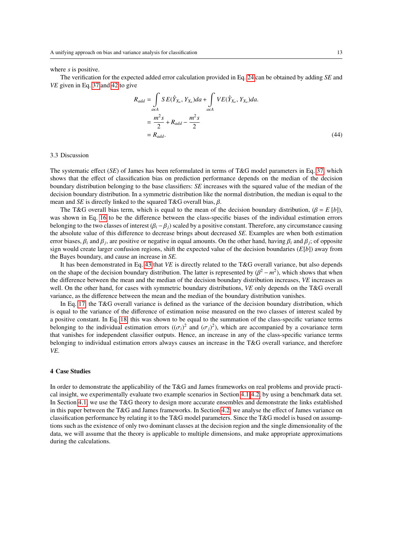#### where *s* is positive.

The verification for the expected added error calculation provided in Eq. [24](#page-7-5) can be obtained by adding *SE* and *VE* given in Eq. [37](#page-10-1) and [42](#page-11-2) to give

$$
R_{add} = \int_{a\in A} SE(\hat{Y}_{X_a}, Y_{X_a}) da + \int_{a\in A} VE(\hat{Y}_{X_a}, Y_{X_a}) da.
$$
  
= 
$$
\frac{m^2 s}{2} + R_{add} - \frac{m^2 s}{2}
$$
  
= 
$$
R_{add}.
$$
 (44)

### <span id="page-12-0"></span>3.3 Discussion

The systematic effect (*SE*) of James has been reformulated in terms of T&G model parameters in Eq. [37,](#page-10-1) which shows that the effect of classification bias on prediction performance depends on the median of the decision boundary distribution belonging to the base classifiers: *SE* increases with the squared value of the median of the decision boundary distribution. In a symmetric distribution like the normal distribution, the median is equal to the mean and *SE* is directly linked to the squared T&G overall bias,  $\beta$ .

The T&G overall bias term, which is equal to the mean of the decision boundary distribution,  $(\beta = E[b])$ , was shown in Eq. [16](#page-5-3) to be the difference between the class-specific biases of the individual estimation errors belonging to the two classes of interest  $(\beta_i - \beta_j)$  scaled by a positive constant. Therefore, any circumstance causing the absolute value of this difference to decrease brings about decreased *SE*. Examples are when both estimation error biases,  $\beta_i$  and  $\beta_j$ , are positive or negative in equal amounts. On the other hand, having  $\beta_i$  and  $\beta_j$ ; of opposite sign would create larger confusion regions, shift the expected value of the decision boundar sign would create larger confusion regions, shift the expected value of the decision boundaries (*E*[*b*]) away from the Bayes boundary, and cause an increase in *SE.*

It has been demonstrated in Eq. [43](#page-11-3) that *VE* is directly related to the T&G overall variance, but also depends on the shape of the decision boundary distribution. The latter is represented by  $(\beta^2 - m^2)$ , which shows that when<br>the difference between the mean and the median of the decision boundary distribution increases *VF* incre the difference between the mean and the median of the decision boundary distribution increases, *VE* increases as well. On the other hand, for cases with symmetric boundary distributions, *VE* only depends on the T&G overall variance, as the difference between the mean and the median of the boundary distribution vanishes.

In Eq. [17,](#page-5-6) the T&G overall variance is defined as the variance of the decision boundary distribution, which is equal to the variance of the difference of estimation noise measured on the two classes of interest scaled by a positive constant. In Eq. [18,](#page-5-4) this was shown to be equal to the summation of the class-specific variance terms belonging to the individual estimation errors  $((\sigma_i)^2$  and  $(\sigma_j)^2$ ), which are accompanied by a covariance term<br>that vanishes for independent classifier outputs. Hence, an increase in any of the class-specific variance te that vanishes for independent classifier outputs. Hence, an increase in any of the class-specific variance terms belonging to individual estimation errors always causes an increase in the T&G overall variance, and therefore *VE*.

### <span id="page-12-1"></span>4 Case Studies

In order to demonstrate the applicability of the T&G and James frameworks on real problems and provide practical insight, we experimentally evaluate two example scenarios in Section [4.1-](#page-13-0)[4.2,](#page-14-0) by using a benchmark data set. In Section [4.1,](#page-13-0) we use the T&G theory to design more accurate ensembles and demonstrate the links established in this paper between the T&G and James frameworks. In Section [4.2,](#page-14-0) we analyse the effect of James variance on classification performance by relating it to the T&G model parameters. Since the T&G model is based on assumptions such as the existence of only two dominant classes at the decision region and the single dimensionality of the data, we will assume that the theory is applicable to multiple dimensions, and make appropriate approximations during the calculations.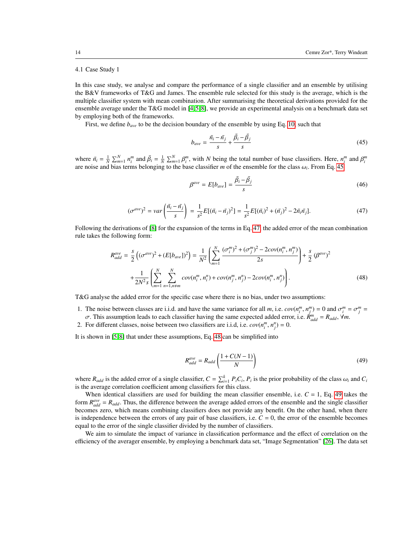### <span id="page-13-0"></span>4.1 Case Study 1

In this case study, we analyse and compare the performance of a single classifier and an ensemble by utilising the B&V frameworks of T&G and James. The ensemble rule selected for this study is the average, which is the multiple classifier system with mean combination. After summarising the theoretical derivations provided for the ensemble average under the T&G model in  $[4, 5, 8]$  $[4, 5, 8]$  $[4, 5, 8]$ , we provide an experimental analysis on a benchmark data set by employing both of the frameworks.

First, we define *bave* to be the decision boundary of the ensemble by using Eq. [10,](#page-4-3) such that

<span id="page-13-1"></span>
$$
b_{ave} = \frac{\bar{n}_i - \bar{n}_j}{s} + \frac{\bar{\beta}_i - \bar{\beta}_j}{s}
$$
(45)

where  $\bar{n}_i = \frac{1}{N} \sum_{m=1}^{N} n_i^m$  and  $\bar{\beta}_i = \frac{1}{N} \sum_{m=1}^{N} \beta_i^m$ , with N being the total number of base classifiers. Here,  $n_i^m$  and  $\beta_i^m$ are noise and bias terms belonging to the base classifier *m* of the ensemble for the class  $\omega_i$ . From Eq. [45](#page-13-1)

$$
\beta^{ave} = E[b_{ave}] = \frac{\bar{\beta}_i - \bar{\beta}_j}{s}
$$
\n(46)

<span id="page-13-2"></span>
$$
(\sigma^{ave})^2 = var\left(\frac{\bar{n}_i - \bar{n}_j}{s}\right) = \frac{1}{s^2}E[(\bar{n}_i - \bar{n}_j)^2] = \frac{1}{s^2}E[(\bar{n}_i)^2 + (\bar{n}_j)^2 - 2\bar{n}_i\bar{n}_j].
$$
\n(47)

Following the derivations of [\[8\]](#page-16-7) for the expansion of the terms in Eq. [47,](#page-13-2) the added error of the mean combination rule takes the following form:

<span id="page-13-3"></span>
$$
R_{add}^{ave} = \frac{s}{2} \left( (\sigma^{ave})^2 + (E[b_{ave}])^2 \right) = \frac{1}{N^2} \left( \sum_{m=1}^{N} \frac{(\sigma_i^m)^2 + (\sigma_j^m)^2 - 2cov(n_i^m, n_j^m)}{2s} \right) + \frac{s}{2} \left( \beta^{ave} \right)^2
$$

$$
+ \frac{1}{2N^2 s} \left( \sum_{m=1}^{N} \sum_{n=1, n \neq m}^{N} cov(n_i^m, n_i^n) + cov(n_j^m, n_j^n) - 2cov(n_i^m, n_j^n) \right). \tag{48}
$$

T&G analyse the added error for the specific case where there is no bias, under two assumptions:

- 1. The noise between classes are i.i.d. and have the same variance for all *m*, i.e.  $cov(n_i^m, n_j^m) = 0$  and  $\sigma_i^m = \sigma_j^m = \sigma$ . This assumption leads to each classifier having the same expected added error i.e.  $R^m = R_{ij}$ .  $\$
- σ. This assumption leads to each classifier having the same expected added error, i.e.  $\mathring{R}_{add}^m = R_{add}$ ,  $\forall m$ .<br>For different classes, noise between two classifiers are i.i.d. i.e.  $cov(n^m, n^n) = 0$
- 2. For different classes, noise between two classifiers are i.i.d, i.e.  $cov(n_i^m, n_j^n) = 0$ .

It is shown in [\[5,](#page-16-4) [8\]](#page-16-7) that under these assumptions, Eq. [48](#page-13-3) can be simplified into

<span id="page-13-4"></span>
$$
R_{add}^{ave} = R_{add} \left( \frac{1 + C(N - 1)}{N} \right)
$$
\n(49)

where  $R_{add}$  is the added error of a single classifier,  $C = \sum_{i=1}^{k} P_i C_i$ ,  $P_i$  is the prior probability of the class  $\omega_i$  and  $C_i$  is the average correlation coefficient among classifiers for this class is the average correlation coefficient among classifiers for this class.

When identical classifiers are used for building the mean classifier ensemble, i.e.  $C = 1$ , Eq. [49](#page-13-4) takes the form  $R_{add}^{ave} = R_{add}$ . Thus, the difference between the average added errors of the ensemble and the single classifier becomes zero, which means combining classifiers does not provide any benefit. On the other hand, when there is independence between the errors of any pair of base classifiers, i.e.  $C = 0$ , the error of the ensemble becomes equal to the error of the single classifier divided by the number of classifiers.

We aim to simulate the impact of variance in classification performance and the effect of correlation on the efficiency of the averager ensemble, by employing a benchmark data set, "Image Segmentation" [\[26\]](#page-16-25). The data set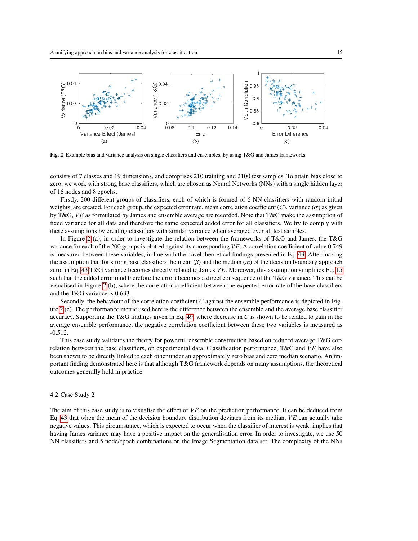

<span id="page-14-1"></span>Fig. 2 Example bias and variance analysis on single classifiers and ensembles, by using T&G and James frameworks

consists of 7 classes and 19 dimensions, and comprises 210 training and 2100 test samples. To attain bias close to zero, we work with strong base classifiers, which are chosen as Neural Networks (NNs) with a single hidden layer of 16 nodes and 8 epochs.

Firstly, 200 different groups of classifiers, each of which is formed of 6 NN classifiers with random initial weights, are created. For each group, the expected error rate, mean correlation coefficient  $(C)$ , variance  $(\sigma)$  as given by T&G, *VE* as formulated by James and ensemble average are recorded. Note that T&G make the assumption of fixed variance for all data and therefore the same expected added error for all classifiers. We try to comply with these assumptions by creating classifiers with similar variance when averaged over all test samples.

In Figure [2](#page-14-1) (a), in order to investigate the relation between the frameworks of T&G and James, the T&G variance for each of the 200 groups is plotted against its corresponding *VE*. A correlation coefficient of value 0.749 is measured between these variables, in line with the novel theoretical findings presented in Eq. [43:](#page-11-3) After making the assumption that for strong base classifiers the mean (β) and the median (*m*) of the decision boundary approach zero, in Eq. [43](#page-11-3) T&G variance becomes directly related to James *VE*. Moreover, this assumption simplifies Eq. [15](#page-5-2) such that the added error (and therefore the error) becomes a direct consequence of the T&G variance. This can be visualised in Figure [2](#page-14-1) (b), where the correlation coefficient between the expected error rate of the base classifiers and the T&G variance is 0.633.

Secondly, the behaviour of the correlation coefficient *C* against the ensemble performance is depicted in Figure [2](#page-14-1) (c). The performance metric used here is the difference between the ensemble and the average base classifier accuracy. Supporting the T&G findings given in Eq. [49,](#page-13-4) where decrease in *C* is shown to be related to gain in the average ensemble performance, the negative correlation coefficient between these two variables is measured as -0.512.

This case study validates the theory for powerful ensemble construction based on reduced average T&G correlation between the base classifiers, on experimental data. Classification performance, T&G and *VE* have also been shown to be directly linked to each other under an approximately zero bias and zero median scenario. An important finding demonstrated here is that although T&G framework depends on many assumptions, the theoretical outcomes generally hold in practice.

## <span id="page-14-0"></span>4.2 Case Study 2

The aim of this case study is to visualise the effect of *VE* on the prediction performance. It can be deduced from Eq. [43](#page-11-3) that when the mean of the decision boundary distribution deviates from its median, *VE* can actually take negative values. This circumstance, which is expected to occur when the classifier of interest is weak, implies that having James variance may have a positive impact on the generalisation error. In order to investigate, we use 50 NN classifiers and 5 node/epoch combinations on the Image Segmentation data set. The complexity of the NNs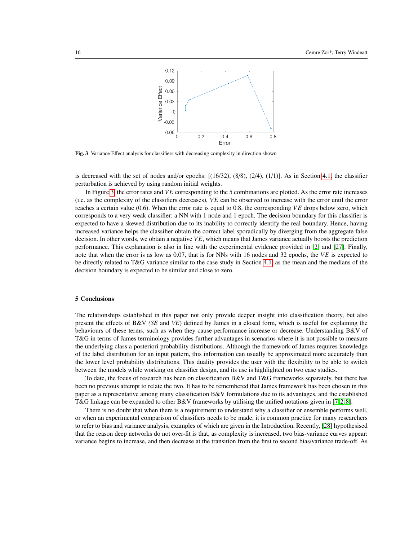

<span id="page-15-0"></span>Fig. 3 Variance Effect analysis for classifiers with decreasing complexity in direction shown

is decreased with the set of nodes and/or epochs:  $[(16/32), (8/8), (2/4), (1/1)]$ . As in Section [4.1,](#page-13-0) the classifier perturbation is achieved by using random initial weights.

In Figure [3,](#page-15-0) the error rates and *VE* corresponding to the 5 combinations are plotted. As the error rate increases (i.e. as the complexity of the classifiers decreases), *VE* can be observed to increase with the error until the error reaches a certain value (0.6). When the error rate is equal to 0.8, the corresponding *VE* drops below zero, which corresponds to a very weak classifier: a NN with 1 node and 1 epoch. The decision boundary for this classifier is expected to have a skewed distribution due to its inability to correctly identify the real boundary. Hence, having increased variance helps the classifier obtain the correct label sporadically by diverging from the aggregate false decision. In other words, we obtain a negative *VE*, which means that James variance actually boosts the prediction performance. This explanation is also in line with the experimental evidence provided in [\[2\]](#page-16-1) and [\[27\]](#page-16-26). Finally, note that when the error is as low as 0.07, that is for NNs with 16 nodes and 32 epochs, the *VE* is expected to be directly related to T&G variance similar to the case study in Section [4.1,](#page-13-0) as the mean and the medians of the decision boundary is expected to be similar and close to zero.

#### 5 Conclusions

The relationships established in this paper not only provide deeper insight into classification theory, but also present the effects of B&V *(SE* and *VE*) defined by James in a closed form, which is useful for explaining the behaviours of these terms, such as when they cause performance increase or decrease. Understanding B&V of T&G in terms of James terminology provides further advantages in scenarios where it is not possible to measure the underlying class a posteriori probability distributions. Although the framework of James requires knowledge of the label distribution for an input pattern, this information can usually be approximated more accurately than the lower level probability distributions. This duality provides the user with the flexibility to be able to switch between the models while working on classifier design, and its use is highlighted on two case studies.

To date, the focus of research has been on classification B&V and T&G frameworks separately, but there has been no previous attempt to relate the two. It has to be remembered that James framework has been chosen in this paper as a representative among many classification B&V formulations due to its advantages, and the established T&G linkage can be expanded to other B&V frameworks by utilising the unified notations given in [\[7,](#page-16-6)2,8].

There is no doubt that when there is a requirement to understand why a classifier or ensemble performs well, or when an experimental comparison of classifiers needs to be made, it is common practice for many researchers to refer to bias and variance analysis, examples of which are given in the Introduction. Recently, [\[28\]](#page-16-27) hypothesised that the reason deep networks do not over-fit is that, as complexity is increased, two bias-variance curves appear: variance begins to increase, and then decrease at the transition from the first to second bias/variance trade-off. As